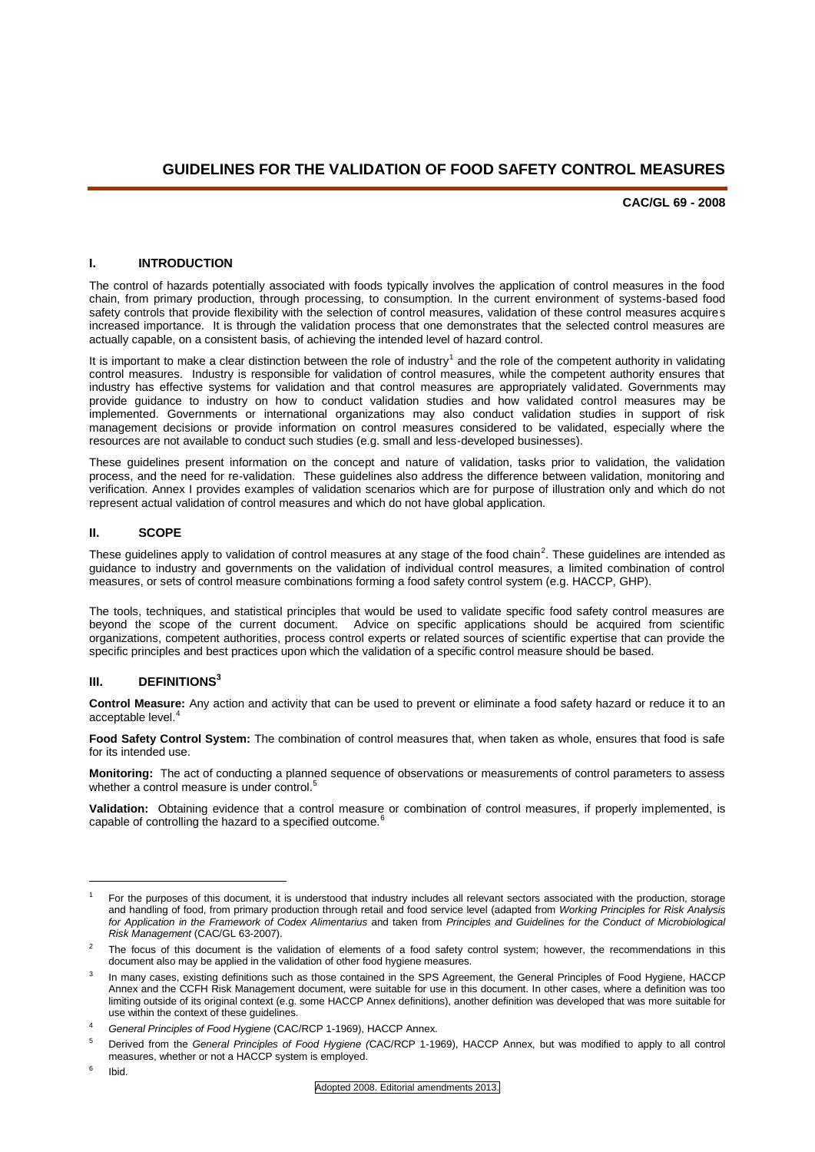# **GUIDELINES FOR THE VALIDATION OF FOOD SAFETY CONTROL MEASURES**

**CAC/GL 69 - 2008**

# **I. INTRODUCTION**

The control of hazards potentially associated with foods typically involves the application of control measures in the food chain, from primary production, through processing, to consumption. In the current environment of systems-based food safety controls that provide flexibility with the selection of control measures, validation of these control measures acquires increased importance. It is through the validation process that one demonstrates that the selected control measures are actually capable, on a consistent basis, of achieving the intended level of hazard control.

It is important to make a clear distinction between the role of industry<sup>1</sup> and the role of the competent authority in validating control measures. Industry is responsible for validation of control measures, while the competent authority ensures that industry has effective systems for validation and that control measures are appropriately validated. Governments may provide guidance to industry on how to conduct validation studies and how validated control measures may be implemented. Governments or international organizations may also conduct validation studies in support of risk management decisions or provide information on control measures considered to be validated, especially where the resources are not available to conduct such studies (e.g. small and less-developed businesses).

These guidelines present information on the concept and nature of validation, tasks prior to validation, the validation process, and the need for re-validation. These guidelines also address the difference between validation, monitoring and verification. Annex I provides examples of validation scenarios which are for purpose of illustration only and which do not represent actual validation of control measures and which do not have global application.

# **II. SCOPE**

These guidelines apply to validation of control measures at any stage of the food chain<sup>2</sup>. These guidelines are intended as guidance to industry and governments on the validation of individual control measures, a limited combination of control measures, or sets of control measure combinations forming a food safety control system (e.g. HACCP, GHP).

The tools, techniques, and statistical principles that would be used to validate specific food safety control measures are beyond the scope of the current document. Advice on specific applications should be acquired from scientific organizations, competent authorities, process control experts or related sources of scientific expertise that can provide the specific principles and best practices upon which the validation of a specific control measure should be based.

# **III. DEFINITIONS<sup>3</sup>**

**Control Measure:** Any action and activity that can be used to prevent or eliminate a food safety hazard or reduce it to an acceptable level.<sup>4</sup>

**Food Safety Control System:** The combination of control measures that, when taken as whole, ensures that food is safe for its intended use.

**Monitoring:** The act of conducting a planned sequence of observations or measurements of control parameters to assess whether a control measure is under control.<sup>5</sup>

**Validation:** Obtaining evidence that a control measure or combination of control measures, if properly implemented, is capable of controlling the hazard to a specified outcome.<sup>6</sup>

6 Ibid.

 $\overline{a}$ 

<sup>1</sup> For the purposes of this document, it is understood that industry includes all relevant sectors associated with the production, storage and handling of food, from primary production through retail and food service level (adapted from *Working Principles for Risk Analysis for Application in the Framework of Codex Alimentarius* and taken from *Principles and Guidelines for the Conduct of Microbiological Risk Management* (CAC/GL 63-2007).

<sup>2</sup> The focus of this document is the validation of elements of a food safety control system; however, the recommendations in this document also may be applied in the validation of other food hygiene measures.

<sup>3</sup> In many cases, existing definitions such as those contained in the SPS Agreement, the General Principles of Food Hygiene, HACCP Annex and the CCFH Risk Management document, were suitable for use in this document. In other cases, where a definition was too limiting outside of its original context (e.g. some HACCP Annex definitions), another definition was developed that was more suitable for use within the context of these guidelines.

<sup>4</sup> *General Principles of Food Hygiene* (CAC/RCP 1-1969), HACCP Annex.

<sup>5</sup> Derived from the *General Principles of Food Hygiene (*CAC/RCP 1-1969), HACCP Annex, but was modified to apply to all control measures, whether or not a HACCP system is employed.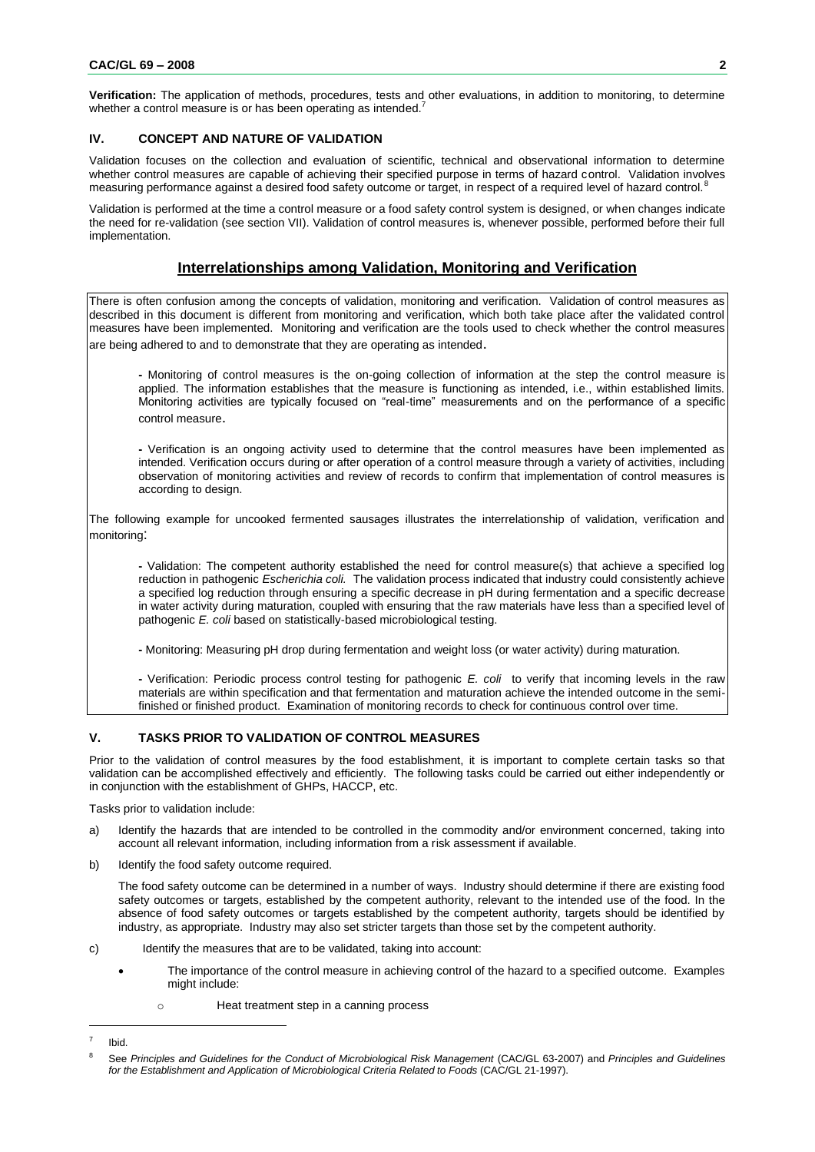**Verification:** The application of methods, procedures, tests and other evaluations, in addition to monitoring, to determine whether a control measure is or has been operating as intended.<sup>7</sup>

## **IV. CONCEPT AND NATURE OF VALIDATION**

Validation focuses on the collection and evaluation of scientific, technical and observational information to determine whether control measures are capable of achieving their specified purpose in terms of hazard control. Validation involves measuring performance against a desired food safety outcome or target, in respect of a required level of hazard control.<sup>8</sup>

Validation is performed at the time a control measure or a food safety control system is designed, or when changes indicate the need for re-validation (see section VII). Validation of control measures is, whenever possible, performed before their full implementation.

# **Interrelationships among Validation, Monitoring and Verification**

There is often confusion among the concepts of validation, monitoring and verification. Validation of control measures as described in this document is different from monitoring and verification, which both take place after the validated control measures have been implemented. Monitoring and verification are the tools used to check whether the control measures are being adhered to and to demonstrate that they are operating as intended.

**-** Monitoring of control measures is the on-going collection of information at the step the control measure is applied. The information establishes that the measure is functioning as intended, i.e., within established limits. Monitoring activities are typically focused on "real-time" measurements and on the performance of a specific control measure.

**-** Verification is an ongoing activity used to determine that the control measures have been implemented as intended. Verification occurs during or after operation of a control measure through a variety of activities, including observation of monitoring activities and review of records to confirm that implementation of control measures is according to design.

The following example for uncooked fermented sausages illustrates the interrelationship of validation, verification and monitoring:

**-** Validation: The competent authority established the need for control measure(s) that achieve a specified log reduction in pathogenic *Escherichia coli.* The validation process indicated that industry could consistently achieve a specified log reduction through ensuring a specific decrease in pH during fermentation and a specific decrease in water activity during maturation, coupled with ensuring that the raw materials have less than a specified level of pathogenic *E. coli* based on statistically-based microbiological testing.

**-** Monitoring: Measuring pH drop during fermentation and weight loss (or water activity) during maturation.

**-** Verification: Periodic process control testing for pathogenic *E. coli* to verify that incoming levels in the raw materials are within specification and that fermentation and maturation achieve the intended outcome in the semifinished or finished product. Examination of monitoring records to check for continuous control over time.

## **V. TASKS PRIOR TO VALIDATION OF CONTROL MEASURES**

Prior to the validation of control measures by the food establishment, it is important to complete certain tasks so that validation can be accomplished effectively and efficiently. The following tasks could be carried out either independently or in conjunction with the establishment of GHPs, HACCP, etc.

Tasks prior to validation include:

- a) Identify the hazards that are intended to be controlled in the commodity and/or environment concerned, taking into account all relevant information, including information from a risk assessment if available.
- b) Identify the food safety outcome required.

The food safety outcome can be determined in a number of ways. Industry should determine if there are existing food safety outcomes or targets, established by the competent authority, relevant to the intended use of the food. In the absence of food safety outcomes or targets established by the competent authority, targets should be identified by industry, as appropriate. Industry may also set stricter targets than those set by the competent authority.

- c) Identify the measures that are to be validated, taking into account:
	- The importance of the control measure in achieving control of the hazard to a specified outcome. Examples might include:
		- o Heat treatment step in a canning process

<sup>7</sup> Ibid.

See Principles and Guidelines for the Conduct of Microbiological Risk Management (CAC/GL 63-2007) and Principles and Guidelines *for the Establishment and Application of Microbiological Criteria Related to Foods* (CAC/GL 21-1997).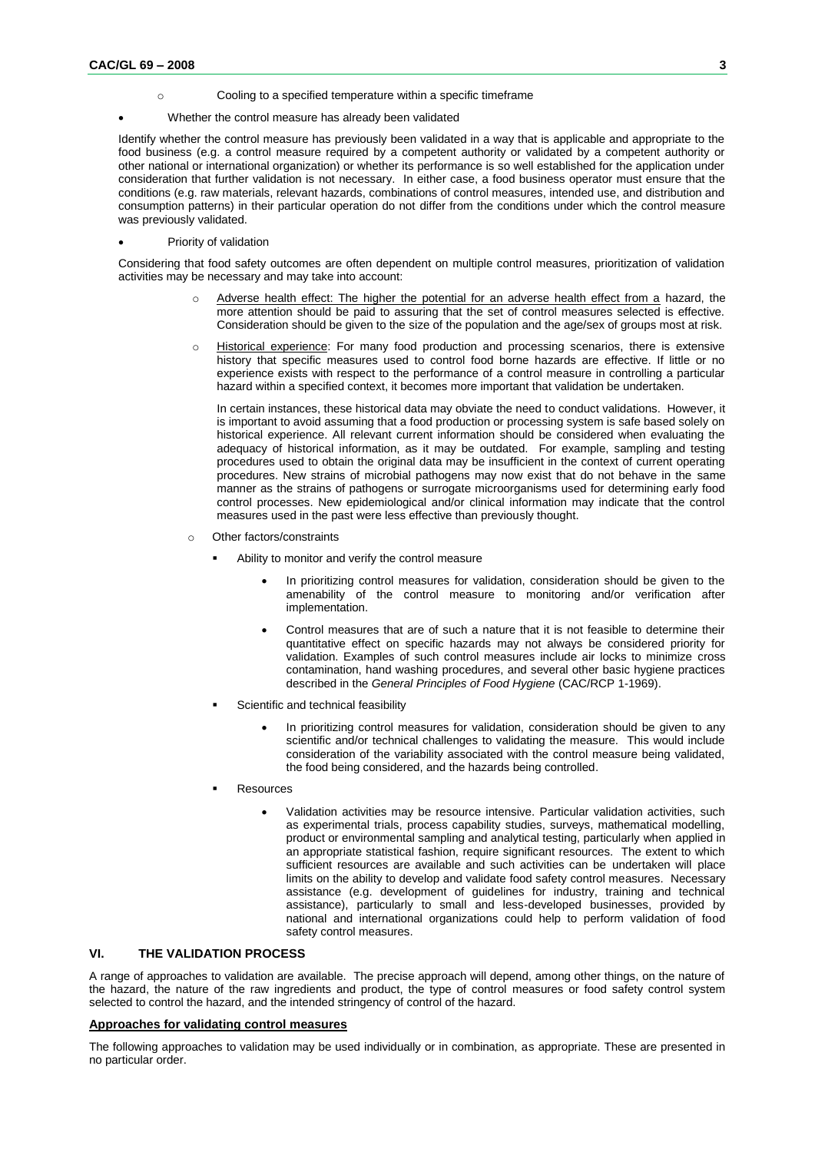- o Cooling to a specified temperature within a specific timeframe
- Whether the control measure has already been validated

Identify whether the control measure has previously been validated in a way that is applicable and appropriate to the food business (e.g. a control measure required by a competent authority or validated by a competent authority or other national or international organization) or whether its performance is so well established for the application under consideration that further validation is not necessary. In either case, a food business operator must ensure that the conditions (e.g. raw materials, relevant hazards, combinations of control measures, intended use, and distribution and consumption patterns) in their particular operation do not differ from the conditions under which the control measure was previously validated.

Priority of validation

Considering that food safety outcomes are often dependent on multiple control measures, prioritization of validation activities may be necessary and may take into account:

- Adverse health effect: The higher the potential for an adverse health effect from a hazard, the more attention should be paid to assuring that the set of control measures selected is effective. Consideration should be given to the size of the population and the age/sex of groups most at risk.
- o Historical experience: For many food production and processing scenarios, there is extensive history that specific measures used to control food borne hazards are effective. If little or no experience exists with respect to the performance of a control measure in controlling a particular hazard within a specified context, it becomes more important that validation be undertaken.

In certain instances, these historical data may obviate the need to conduct validations. However, it is important to avoid assuming that a food production or processing system is safe based solely on historical experience. All relevant current information should be considered when evaluating the adequacy of historical information, as it may be outdated. For example, sampling and testing procedures used to obtain the original data may be insufficient in the context of current operating procedures. New strains of microbial pathogens may now exist that do not behave in the same manner as the strains of pathogens or surrogate microorganisms used for determining early food control processes. New epidemiological and/or clinical information may indicate that the control measures used in the past were less effective than previously thought.

- Other factors/constraints
	- Ability to monitor and verify the control measure
		- In prioritizing control measures for validation, consideration should be given to the amenability of the control measure to monitoring and/or verification after implementation.
		- Control measures that are of such a nature that it is not feasible to determine their quantitative effect on specific hazards may not always be considered priority for validation. Examples of such control measures include air locks to minimize cross contamination, hand washing procedures, and several other basic hygiene practices described in the *General Principles of Food Hygiene* (CAC/RCP 1-1969).
	- Scientific and technical feasibility
		- In prioritizing control measures for validation, consideration should be given to any scientific and/or technical challenges to validating the measure. This would include consideration of the variability associated with the control measure being validated, the food being considered, and the hazards being controlled.
	- Resources
		- Validation activities may be resource intensive. Particular validation activities, such as experimental trials, process capability studies, surveys, mathematical modelling, product or environmental sampling and analytical testing, particularly when applied in an appropriate statistical fashion, require significant resources. The extent to which sufficient resources are available and such activities can be undertaken will place limits on the ability to develop and validate food safety control measures. Necessary assistance (e.g. development of guidelines for industry, training and technical assistance), particularly to small and less-developed businesses, provided by national and international organizations could help to perform validation of food safety control measures.

# **VI. THE VALIDATION PROCESS**

A range of approaches to validation are available. The precise approach will depend, among other things, on the nature of the hazard, the nature of the raw ingredients and product, the type of control measures or food safety control system selected to control the hazard, and the intended stringency of control of the hazard.

## **Approaches for validating control measures**

The following approaches to validation may be used individually or in combination, as appropriate. These are presented in no particular order.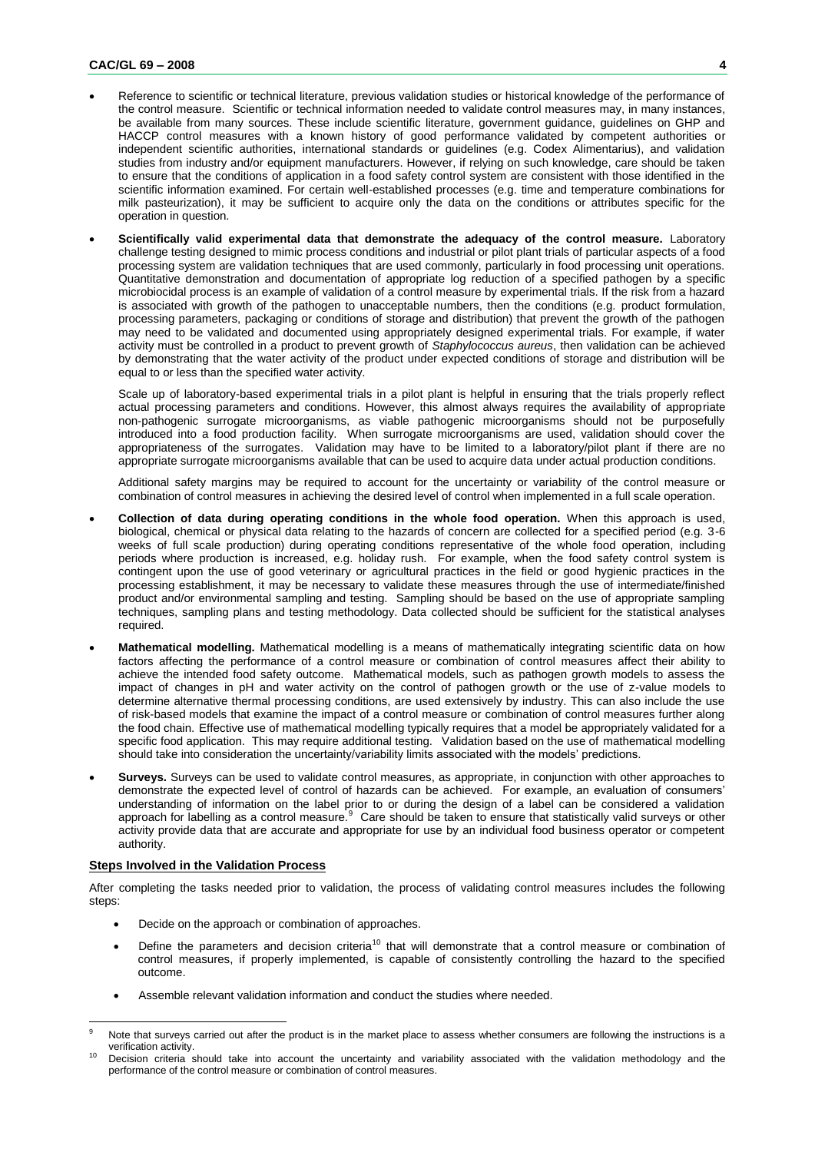- Reference to scientific or technical literature, previous validation studies or historical knowledge of the performance of the control measure. Scientific or technical information needed to validate control measures may, in many instances, be available from many sources. These include scientific literature, government guidance, guidelines on GHP and HACCP control measures with a known history of good performance validated by competent authorities or independent scientific authorities, international standards or guidelines (e.g. Codex Alimentarius), and validation studies from industry and/or equipment manufacturers. However, if relying on such knowledge, care should be taken to ensure that the conditions of application in a food safety control system are consistent with those identified in the scientific information examined. For certain well-established processes (e.g. time and temperature combinations for milk pasteurization), it may be sufficient to acquire only the data on the conditions or attributes specific for the operation in question.
- **Scientifically valid experimental data that demonstrate the adequacy of the control measure.** Laboratory challenge testing designed to mimic process conditions and industrial or pilot plant trials of particular aspects of a food processing system are validation techniques that are used commonly, particularly in food processing unit operations. Quantitative demonstration and documentation of appropriate log reduction of a specified pathogen by a specific microbiocidal process is an example of validation of a control measure by experimental trials. If the risk from a hazard is associated with growth of the pathogen to unacceptable numbers, then the conditions (e.g. product formulation, processing parameters, packaging or conditions of storage and distribution) that prevent the growth of the pathogen may need to be validated and documented using appropriately designed experimental trials. For example, if water activity must be controlled in a product to prevent growth of *Staphylococcus aureus*, then validation can be achieved by demonstrating that the water activity of the product under expected conditions of storage and distribution will be equal to or less than the specified water activity.

Scale up of laboratory-based experimental trials in a pilot plant is helpful in ensuring that the trials properly reflect actual processing parameters and conditions. However, this almost always requires the availability of appropriate non-pathogenic surrogate microorganisms, as viable pathogenic microorganisms should not be purposefully introduced into a food production facility. When surrogate microorganisms are used, validation should cover the appropriateness of the surrogates. Validation may have to be limited to a laboratory/pilot plant if there are no appropriate surrogate microorganisms available that can be used to acquire data under actual production conditions.

Additional safety margins may be required to account for the uncertainty or variability of the control measure or combination of control measures in achieving the desired level of control when implemented in a full scale operation.

- **Collection of data during operating conditions in the whole food operation.** When this approach is used, biological, chemical or physical data relating to the hazards of concern are collected for a specified period (e.g. 3-6 weeks of full scale production) during operating conditions representative of the whole food operation, including periods where production is increased, e.g. holiday rush. For example, when the food safety control system is contingent upon the use of good veterinary or agricultural practices in the field or good hygienic practices in the processing establishment, it may be necessary to validate these measures through the use of intermediate/finished product and/or environmental sampling and testing. Sampling should be based on the use of appropriate sampling techniques, sampling plans and testing methodology. Data collected should be sufficient for the statistical analyses required.
- **Mathematical modelling.** Mathematical modelling is a means of mathematically integrating scientific data on how factors affecting the performance of a control measure or combination of control measures affect their ability to achieve the intended food safety outcome. Mathematical models, such as pathogen growth models to assess the impact of changes in pH and water activity on the control of pathogen growth or the use of z-value models to determine alternative thermal processing conditions, are used extensively by industry. This can also include the use of risk-based models that examine the impact of a control measure or combination of control measures further along the food chain. Effective use of mathematical modelling typically requires that a model be appropriately validated for a specific food application. This may require additional testing. Validation based on the use of mathematical modelling should take into consideration the uncertainty/variability limits associated with the models' predictions.
- **Surveys.** Surveys can be used to validate control measures, as appropriate, in conjunction with other approaches to demonstrate the expected level of control of hazards can be achieved. For example, an evaluation of consumers' understanding of information on the label prior to or during the design of a label can be considered a validation approach for labelling as a control measure.<sup>9</sup> Care should be taken to ensure that statistically valid surveys or other activity provide data that are accurate and appropriate for use by an individual food business operator or competent authority.

## **Steps Involved in the Validation Process**

After completing the tasks needed prior to validation, the process of validating control measures includes the following steps:

- Decide on the approach or combination of approaches.
- Define the parameters and decision criteria<sup>10</sup> that will demonstrate that a control measure or combination of control measures, if properly implemented, is capable of consistently controlling the hazard to the specified outcome.
- Assemble relevant validation information and conduct the studies where needed.

Note that surveys carried out after the product is in the market place to assess whether consumers are following the instructions is a verification activity.

<sup>&</sup>lt;sup>10</sup> Decision criteria should take into account the uncertainty and variability associated with the validation methodology and the performance of the control measure or combination of control measures.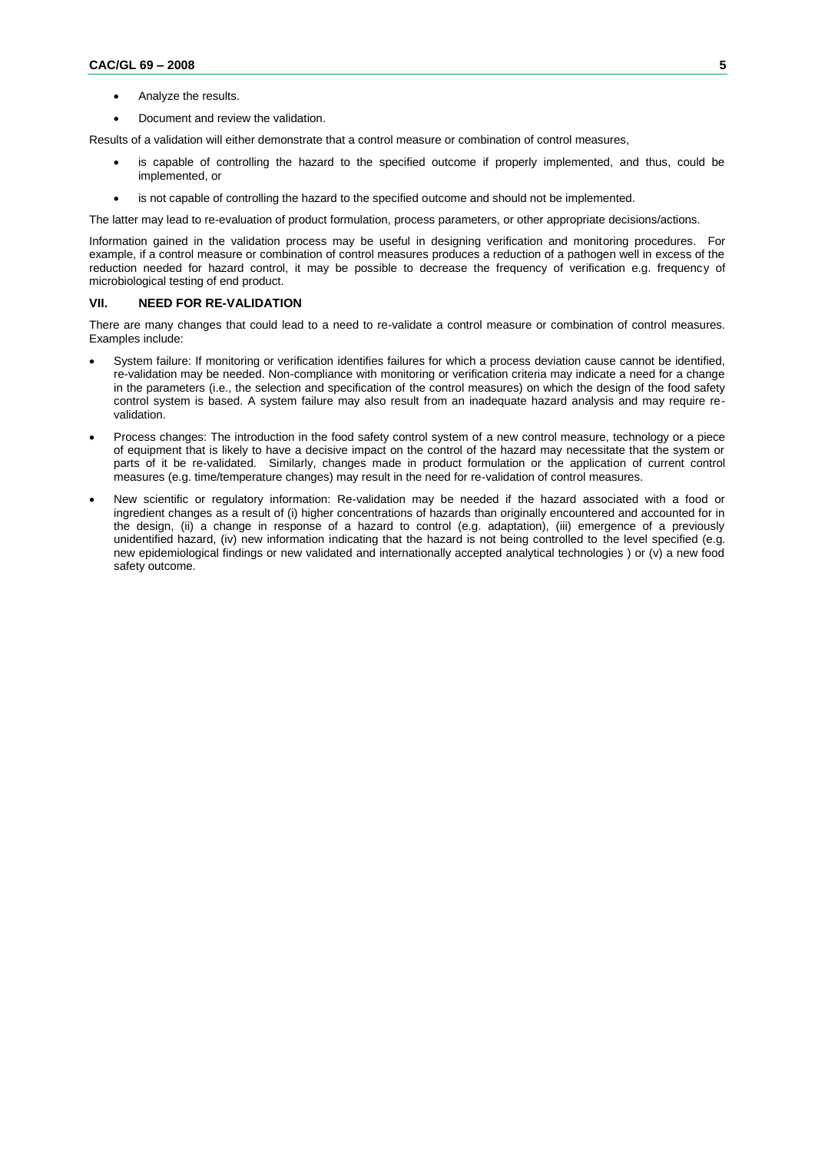- Analyze the results.
- Document and review the validation.

Results of a validation will either demonstrate that a control measure or combination of control measures,

- is capable of controlling the hazard to the specified outcome if properly implemented, and thus, could be implemented, or
- is not capable of controlling the hazard to the specified outcome and should not be implemented.

The latter may lead to re-evaluation of product formulation, process parameters, or other appropriate decisions/actions.

Information gained in the validation process may be useful in designing verification and monitoring procedures. For example, if a control measure or combination of control measures produces a reduction of a pathogen well in excess of the reduction needed for hazard control, it may be possible to decrease the frequency of verification e.g. frequency of microbiological testing of end product.

## **VII. NEED FOR RE-VALIDATION**

There are many changes that could lead to a need to re-validate a control measure or combination of control measures. Examples include:

- System failure: If monitoring or verification identifies failures for which a process deviation cause cannot be identified, re-validation may be needed. Non-compliance with monitoring or verification criteria may indicate a need for a change in the parameters (i.e., the selection and specification of the control measures) on which the design of the food safety control system is based. A system failure may also result from an inadequate hazard analysis and may require revalidation.
- Process changes: The introduction in the food safety control system of a new control measure, technology or a piece of equipment that is likely to have a decisive impact on the control of the hazard may necessitate that the system or parts of it be re-validated. Similarly, changes made in product formulation or the application of current control measures (e.g. time/temperature changes) may result in the need for re-validation of control measures.
- New scientific or regulatory information: Re-validation may be needed if the hazard associated with a food or ingredient changes as a result of (i) higher concentrations of hazards than originally encountered and accounted for in the design, (ii) a change in response of a hazard to control (e.g. adaptation), (iii) emergence of a previously unidentified hazard, (iv) new information indicating that the hazard is not being controlled to the level specified (e.g. new epidemiological findings or new validated and internationally accepted analytical technologies ) or (v) a new food safety outcome.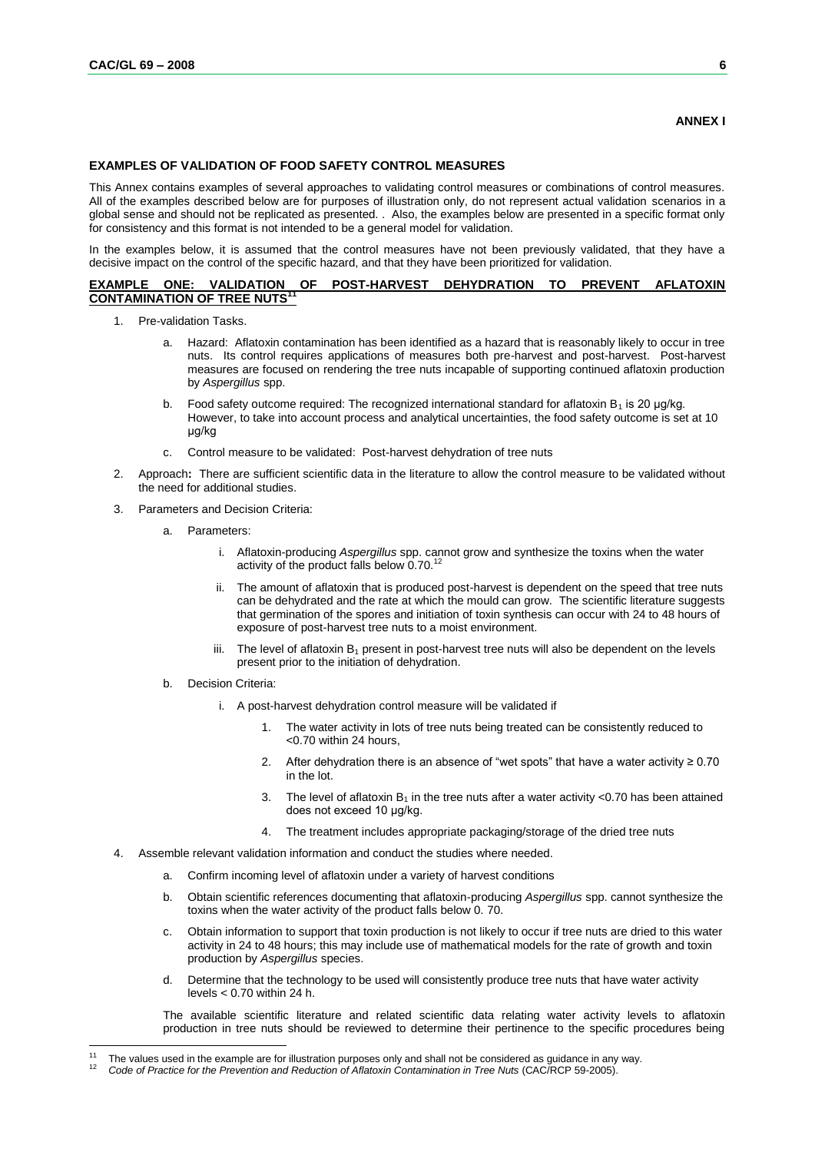#### **ANNEX I**

## **EXAMPLES OF VALIDATION OF FOOD SAFETY CONTROL MEASURES**

This Annex contains examples of several approaches to validating control measures or combinations of control measures. All of the examples described below are for purposes of illustration only, do not represent actual validation scenarios in a global sense and should not be replicated as presented. . Also, the examples below are presented in a specific format only for consistency and this format is not intended to be a general model for validation.

In the examples below, it is assumed that the control measures have not been previously validated, that they have a decisive impact on the control of the specific hazard, and that they have been prioritized for validation.

## **EXAMPLE ONE: VALIDATION OF POST-HARVEST DEHYDRATION TO PREVENT AFLATOXIN CONTAMINATION OF TREE NUTS<sup>11</sup>**

- 1. Pre-validation Tasks.
	- a. Hazard: Aflatoxin contamination has been identified as a hazard that is reasonably likely to occur in tree nuts. Its control requires applications of measures both pre-harvest and post-harvest. Post-harvest measures are focused on rendering the tree nuts incapable of supporting continued aflatoxin production by *Aspergillus* spp.
	- b. Food safety outcome required: The recognized international standard for aflatoxin  $B_1$  is 20 µg/kg. However, to take into account process and analytical uncertainties, the food safety outcome is set at 10 μg/kg
	- c. Control measure to be validated: Post-harvest dehydration of tree nuts
- 2. Approach**:** There are sufficient scientific data in the literature to allow the control measure to be validated without the need for additional studies.
- 3. Parameters and Decision Criteria:
	- a. Parameters:
		- i. Aflatoxin-producing *Aspergillus* spp. cannot grow and synthesize the toxins when the water activity of the product falls below 0.70.<sup>12</sup>
		- ii. The amount of aflatoxin that is produced post-harvest is dependent on the speed that tree nuts can be dehydrated and the rate at which the mould can grow. The scientific literature suggests that germination of the spores and initiation of toxin synthesis can occur with 24 to 48 hours of exposure of post-harvest tree nuts to a moist environment.
		- iii. The level of aflatoxin  $B_1$  present in post-harvest tree nuts will also be dependent on the levels present prior to the initiation of dehydration.
	- b. Decision Criteria:

- i. A post-harvest dehydration control measure will be validated if
	- The water activity in lots of tree nuts being treated can be consistently reduced to <0.70 within 24 hours,
	- 2. After dehydration there is an absence of "wet spots" that have a water activity  $\geq 0.70$ in the lot.
	- 3. The level of aflatoxin  $B_1$  in the tree nuts after a water activity <0.70 has been attained does not exceed 10 μg/kg.
	- 4. The treatment includes appropriate packaging/storage of the dried tree nuts
- 4. Assemble relevant validation information and conduct the studies where needed.
	- a. Confirm incoming level of aflatoxin under a variety of harvest conditions
	- b. Obtain scientific references documenting that aflatoxin-producing *Aspergillus* spp. cannot synthesize the toxins when the water activity of the product falls below 0. 70.
	- c. Obtain information to support that toxin production is not likely to occur if tree nuts are dried to this water activity in 24 to 48 hours; this may include use of mathematical models for the rate of growth and toxin production by *Aspergillus* species.
	- d. Determine that the technology to be used will consistently produce tree nuts that have water activity levels < 0.70 within 24 h.

The available scientific literature and related scientific data relating water activity levels to aflatoxin production in tree nuts should be reviewed to determine their pertinence to the specific procedures being

<sup>&</sup>lt;sup>11</sup> The values used in the example are for illustration purposes only and shall not be considered as guidance in any way.

<sup>12</sup> *Code of Practice for the Prevention and Reduction of Aflatoxin Contamination in Tree Nuts* (CAC/RCP 59-2005).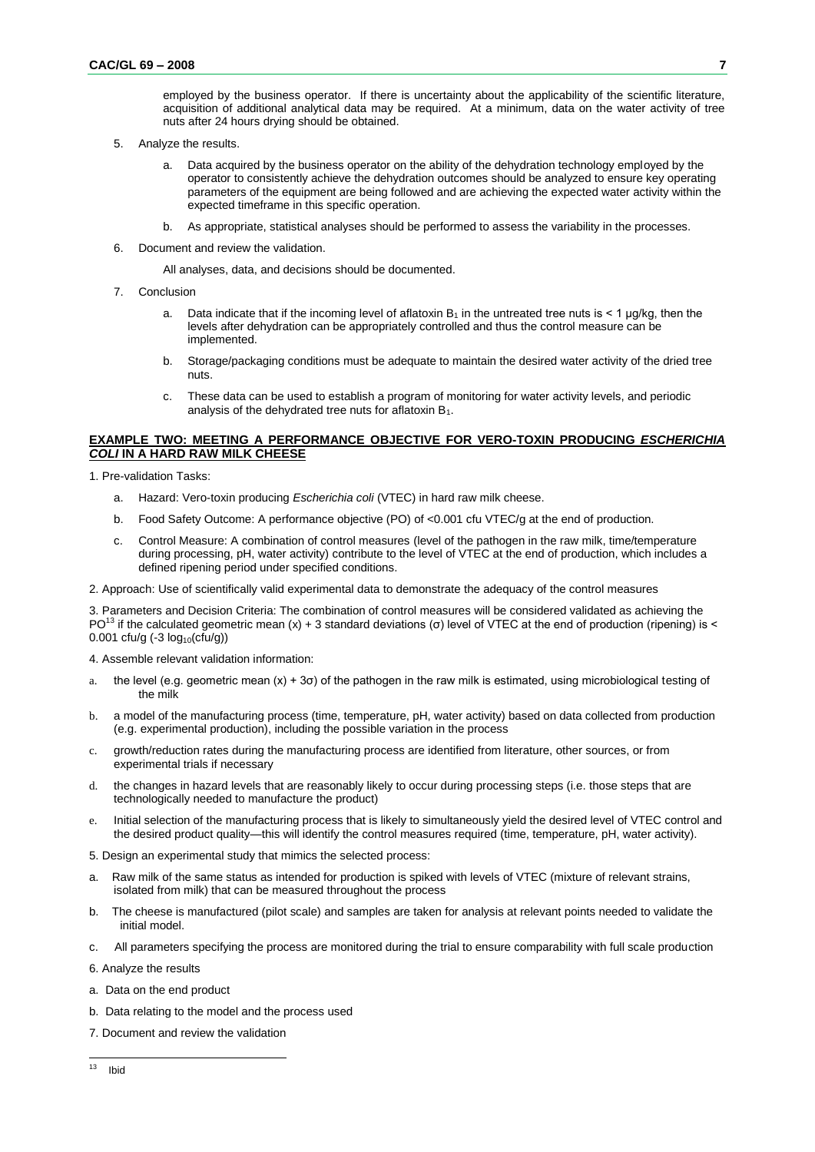employed by the business operator. If there is uncertainty about the applicability of the scientific literature, acquisition of additional analytical data may be required. At a minimum, data on the water activity of tree nuts after 24 hours drying should be obtained.

- 5. Analyze the results.
	- a. Data acquired by the business operator on the ability of the dehydration technology employed by the operator to consistently achieve the dehydration outcomes should be analyzed to ensure key operating parameters of the equipment are being followed and are achieving the expected water activity within the expected timeframe in this specific operation.
	- b. As appropriate, statistical analyses should be performed to assess the variability in the processes.
- 6. Document and review the validation.

All analyses, data, and decisions should be documented.

- 7. Conclusion
	- a. Data indicate that if the incoming level of aflatoxin  $B_1$  in the untreated tree nuts is < 1 µg/kg, then the levels after dehydration can be appropriately controlled and thus the control measure can be implemented.
	- b. Storage/packaging conditions must be adequate to maintain the desired water activity of the dried tree nuts.
	- c. These data can be used to establish a program of monitoring for water activity levels, and periodic analysis of the dehydrated tree nuts for aflatoxin  $B_1$ .

## **EXAMPLE TWO: MEETING A PERFORMANCE OBJECTIVE FOR VERO-TOXIN PRODUCING** *ESCHERICHIA COLI* **IN A HARD RAW MILK CHEESE**

- 1. Pre-validation Tasks:
	- a. Hazard: Vero-toxin producing *Escherichia coli* (VTEC) in hard raw milk cheese.
	- b. Food Safety Outcome: A performance objective (PO) of <0.001 cfu VTEC/g at the end of production.
	- c. Control Measure: A combination of control measures (level of the pathogen in the raw milk, time/temperature during processing, pH, water activity) contribute to the level of VTEC at the end of production, which includes a defined ripening period under specified conditions.
- 2. Approach: Use of scientifically valid experimental data to demonstrate the adequacy of the control measures

3. Parameters and Decision Criteria: The combination of control measures will be considered validated as achieving the PO<sup>13</sup> if the calculated geometric mean (x) + 3 standard deviations (σ) level of VTEC at the end of production (ripening) is < 0.001 cfu/g  $(-3 log_{10}(ctu/g))$ 

- 4. Assemble relevant validation information:
- a. the level (e.g. geometric mean (x) + 3σ) of the pathogen in the raw milk is estimated, using microbiological testing of the milk
- b. a model of the manufacturing process (time, temperature, pH, water activity) based on data collected from production (e.g. experimental production), including the possible variation in the process
- c. growth/reduction rates during the manufacturing process are identified from literature, other sources, or from experimental trials if necessary
- d. the changes in hazard levels that are reasonably likely to occur during processing steps (i.e. those steps that are technologically needed to manufacture the product)
- e. Initial selection of the manufacturing process that is likely to simultaneously yield the desired level of VTEC control and the desired product quality—this will identify the control measures required (time, temperature, pH, water activity).
- 5. Design an experimental study that mimics the selected process:
- a. Raw milk of the same status as intended for production is spiked with levels of VTEC (mixture of relevant strains, isolated from milk) that can be measured throughout the process
- b. The cheese is manufactured (pilot scale) and samples are taken for analysis at relevant points needed to validate the initial model.
- c. All parameters specifying the process are monitored during the trial to ensure comparability with full scale production
- 6. Analyze the results
- a. Data on the end product
- b. Data relating to the model and the process used
- 7. Document and review the validation
- $13$ <sup>13</sup> Ibid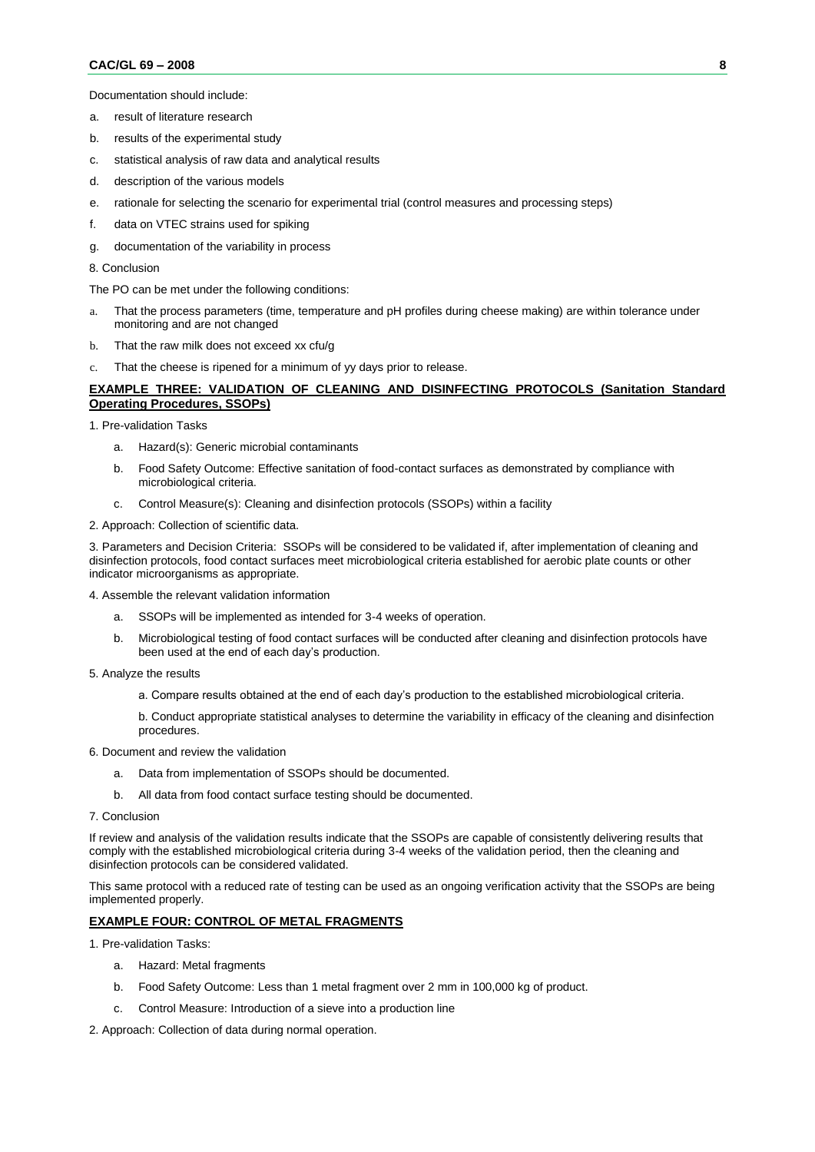Documentation should include:

- a. result of literature research
- b. results of the experimental study
- c. statistical analysis of raw data and analytical results
- d. description of the various models
- e. rationale for selecting the scenario for experimental trial (control measures and processing steps)
- f. data on VTEC strains used for spiking
- g. documentation of the variability in process

## 8. Conclusion

The PO can be met under the following conditions:

- a. That the process parameters (time, temperature and pH profiles during cheese making) are within tolerance under monitoring and are not changed
- b. That the raw milk does not exceed xx cfu/g
- c. That the cheese is ripened for a minimum of yy days prior to release.

# **EXAMPLE THREE: VALIDATION OF CLEANING AND DISINFECTING PROTOCOLS (Sanitation Standard Operating Procedures, SSOPs)**

1. Pre-validation Tasks

- a. Hazard(s): Generic microbial contaminants
- b. Food Safety Outcome: Effective sanitation of food-contact surfaces as demonstrated by compliance with microbiological criteria.
- c. Control Measure(s): Cleaning and disinfection protocols (SSOPs) within a facility
- 2. Approach: Collection of scientific data.

3. Parameters and Decision Criteria: SSOPs will be considered to be validated if, after implementation of cleaning and disinfection protocols, food contact surfaces meet microbiological criteria established for aerobic plate counts or other indicator microorganisms as appropriate.

- 4. Assemble the relevant validation information
	- a. SSOPs will be implemented as intended for 3-4 weeks of operation.
	- b. Microbiological testing of food contact surfaces will be conducted after cleaning and disinfection protocols have been used at the end of each day's production.
- 5. Analyze the results
	- a. Compare results obtained at the end of each day's production to the established microbiological criteria.

b. Conduct appropriate statistical analyses to determine the variability in efficacy of the cleaning and disinfection procedures.

- 6. Document and review the validation
	- a. Data from implementation of SSOPs should be documented.
	- b. All data from food contact surface testing should be documented.

#### 7. Conclusion

If review and analysis of the validation results indicate that the SSOPs are capable of consistently delivering results that comply with the established microbiological criteria during 3-4 weeks of the validation period, then the cleaning and disinfection protocols can be considered validated.

This same protocol with a reduced rate of testing can be used as an ongoing verification activity that the SSOPs are being implemented properly.

## **EXAMPLE FOUR: CONTROL OF METAL FRAGMENTS**

1. Pre-validation Tasks:

- a. Hazard: Metal fragments
- b. Food Safety Outcome: Less than 1 metal fragment over 2 mm in 100,000 kg of product.
- c. Control Measure: Introduction of a sieve into a production line

2. Approach: Collection of data during normal operation.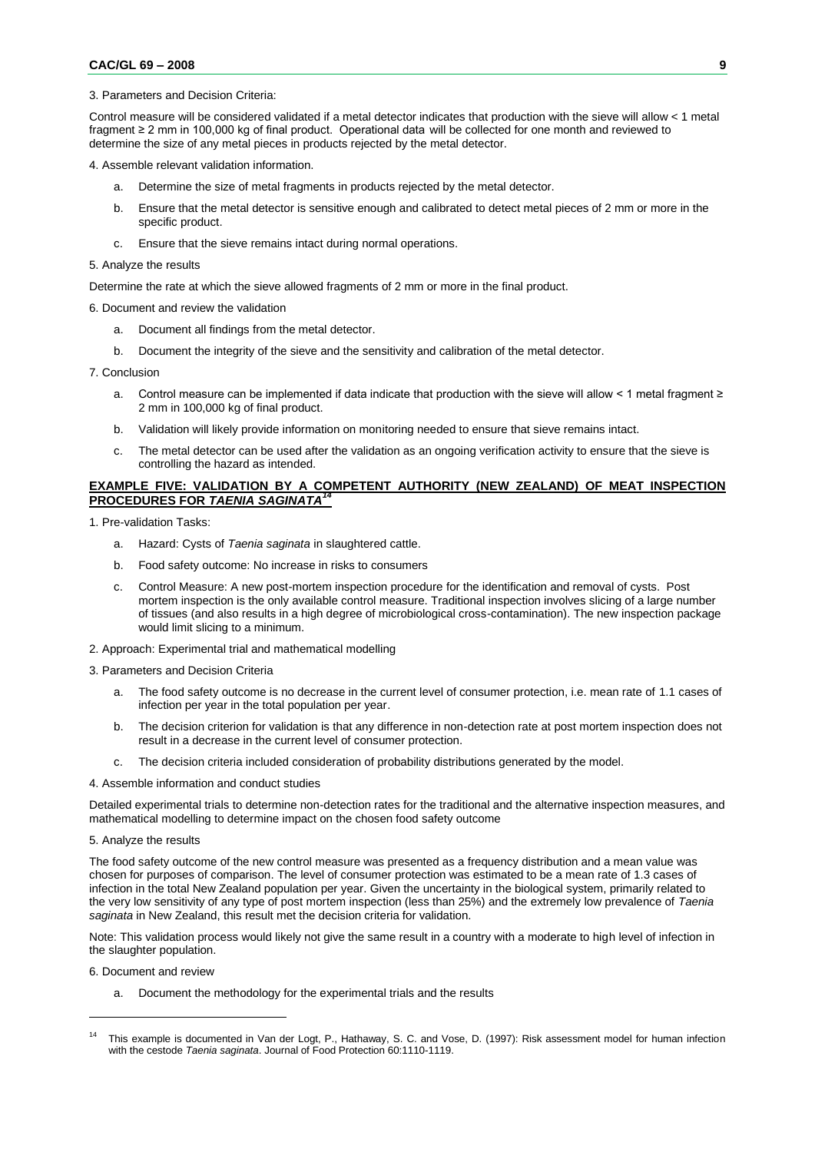#### 3. Parameters and Decision Criteria:

Control measure will be considered validated if a metal detector indicates that production with the sieve will allow < 1 metal fragment ≥ 2 mm in 100,000 kg of final product. Operational data will be collected for one month and reviewed to determine the size of any metal pieces in products rejected by the metal detector.

4. Assemble relevant validation information.

- a. Determine the size of metal fragments in products rejected by the metal detector.
- b. Ensure that the metal detector is sensitive enough and calibrated to detect metal pieces of 2 mm or more in the specific product.
- c. Ensure that the sieve remains intact during normal operations.

#### 5. Analyze the results

Determine the rate at which the sieve allowed fragments of 2 mm or more in the final product.

6. Document and review the validation

- a. Document all findings from the metal detector.
- b. Document the integrity of the sieve and the sensitivity and calibration of the metal detector.

#### 7. Conclusion

- a. Control measure can be implemented if data indicate that production with the sieve will allow < 1 metal fragment ≥ 2 mm in 100,000 kg of final product.
- b. Validation will likely provide information on monitoring needed to ensure that sieve remains intact.
- c. The metal detector can be used after the validation as an ongoing verification activity to ensure that the sieve is controlling the hazard as intended.

## **EXAMPLE FIVE: VALIDATION BY A COMPETENT AUTHORITY (NEW ZEALAND) OF MEAT INSPECTION PROCEDURES FOR** *TAENIA SAGINATA<sup>14</sup>*

1. Pre-validation Tasks:

- a. Hazard: Cysts of *Taenia saginata* in slaughtered cattle.
- b. Food safety outcome: No increase in risks to consumers
- c. Control Measure: A new post-mortem inspection procedure for the identification and removal of cysts. Post mortem inspection is the only available control measure. Traditional inspection involves slicing of a large number of tissues (and also results in a high degree of microbiological cross-contamination). The new inspection package would limit slicing to a minimum.
- 2. Approach: Experimental trial and mathematical modelling

#### 3. Parameters and Decision Criteria

- a. The food safety outcome is no decrease in the current level of consumer protection, i.e. mean rate of 1.1 cases of infection per year in the total population per year.
- b. The decision criterion for validation is that any difference in non-detection rate at post mortem inspection does not result in a decrease in the current level of consumer protection.
- c. The decision criteria included consideration of probability distributions generated by the model.
- 4. Assemble information and conduct studies

Detailed experimental trials to determine non-detection rates for the traditional and the alternative inspection measures, and mathematical modelling to determine impact on the chosen food safety outcome

#### 5. Analyze the results

The food safety outcome of the new control measure was presented as a frequency distribution and a mean value was chosen for purposes of comparison. The level of consumer protection was estimated to be a mean rate of 1.3 cases of infection in the total New Zealand population per year. Given the uncertainty in the biological system, primarily related to the very low sensitivity of any type of post mortem inspection (less than 25%) and the extremely low prevalence of *Taenia saginata* in New Zealand, this result met the decision criteria for validation.

Note: This validation process would likely not give the same result in a country with a moderate to high level of infection in the slaughter population.

6. Document and review

a. Document the methodology for the experimental trials and the results

<sup>14</sup> This example is documented in Van der Logt, P., Hathaway, S. C. and Vose, D. (1997): Risk assessment model for human infection with the cestode *Taenia saginata*. Journal of Food Protection 60:1110-1119.